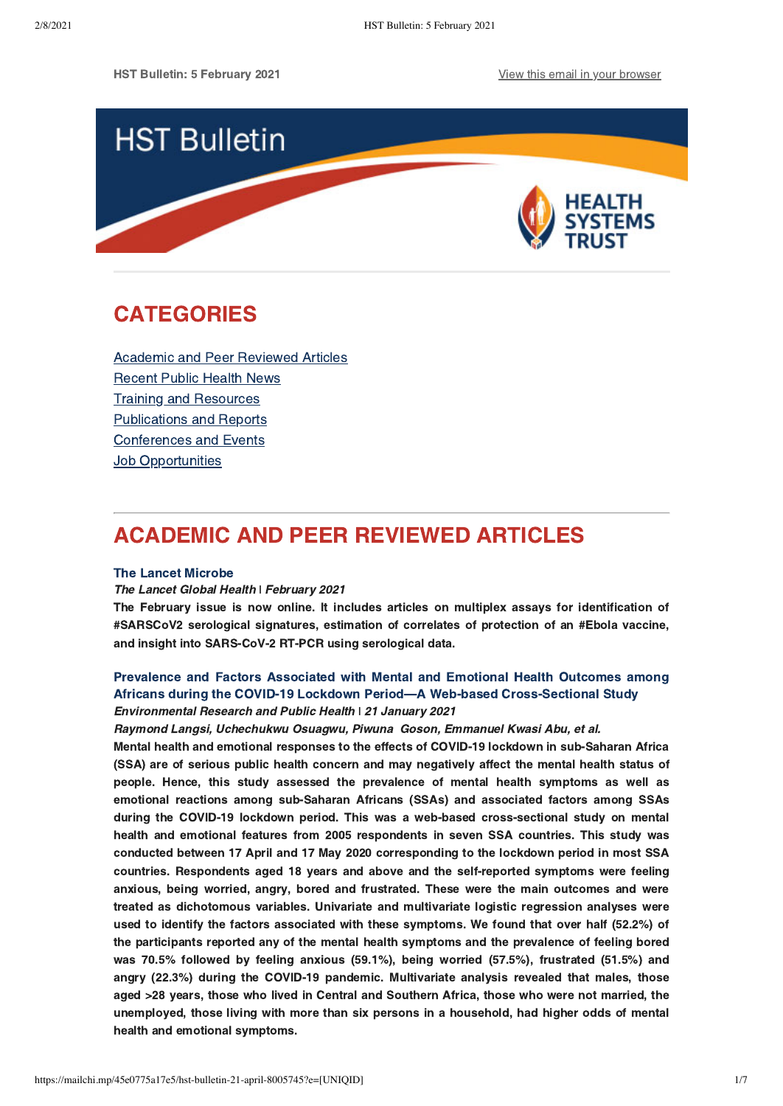

# <span id="page-0-1"></span>CATEGORIES

[Academic and Peer Reviewed Articles](#page-0-0) [Recent Public Health News](#page-1-0) Training and Resources [Publications and Reports](#page-3-0) [Conferences and Events](#page-4-0) **[Job Opportunities](#page-5-0)** 

# <span id="page-0-0"></span>ACADEMIC AND PEER REVIEWED ARTICLES

### [The Lancet Microbe](https://thelancet.com/journals/lanmic/issue/current)

### The Lancet Global Health | February 2021

The February issue is now online. It includes articles on multiplex assays for identification of #SARSCoV2 serological signatures, estimation of correlates of protection of an #Ebola vaccine, and insight into SARS-CoV-2 RT-PCR using serological data.

## Prevalence and Factors Associated with Mental and Emotional Health Outcomes among [Africans during the COVID-19 Lockdown Period—A Web-based Cross-Sectional Study](https://www.mdpi.com/1660-4601/18/3/899) Environmental Research and Public Health **ǀ** 21 January 2021

Raymond Langsi, Uchechukwu Osuagwu, Piwuna Goson, Emmanuel Kwasi Abu, et al.

Mental health and emotional responses to the effects of COVID-19 lockdown in sub-Saharan Africa (SSA) are of serious public health concern and may negatively affect the mental health status of people. Hence, this study assessed the prevalence of mental health symptoms as well as emotional reactions among sub-Saharan Africans (SSAs) and associated factors among SSAs during the COVID-19 lockdown period. This was a web-based cross-sectional study on mental health and emotional features from 2005 respondents in seven SSA countries. This study was conducted between 17 April and 17 May 2020 corresponding to the lockdown period in most SSA countries. Respondents aged 18 years and above and the self-reported symptoms were feeling anxious, being worried, angry, bored and frustrated. These were the main outcomes and were treated as dichotomous variables. Univariate and multivariate logistic regression analyses were used to identify the factors associated with these symptoms. We found that over half (52.2%) of the participants reported any of the mental health symptoms and the prevalence of feeling bored was 70.5% followed by feeling anxious (59.1%), being worried (57.5%), frustrated (51.5%) and angry (22.3%) during the COVID-19 pandemic. Multivariate analysis revealed that males, those aged >28 years, those who lived in Central and Southern Africa, those who were not married, the unemployed, those living with more than six persons in a household, had higher odds of mental health and emotional symptoms.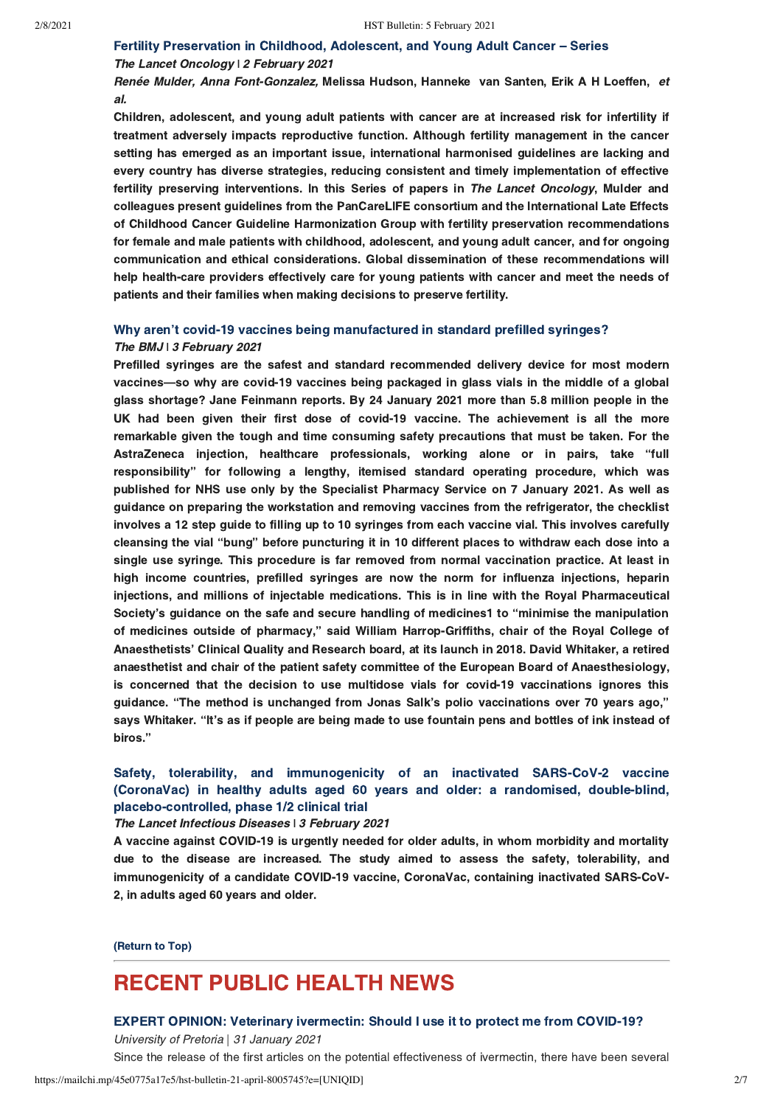# [Fertility Preservation in Childhood, Adolescent, and Young Adult Cancer – Series](https://www.thelancet.com/series/Fertility-Preservation-in-Childhood-Adolescent-and-Young-Adult-Cancer)

### The Lancet Oncology | 2 February 2021

Renée Mulder, Anna Font-Gonzalez, Melissa Hudson, Hanneke van Santen, Erik A H Loeffen, et al.

Children, adolescent, and young adult patients with cancer are at increased risk for infertility if treatment adversely impacts reproductive function. Although fertility management in the cancer setting has emerged as an important issue, international harmonised guidelines are lacking and every country has diverse strategies, reducing consistent and timely implementation of effective fertility preserving interventions. In this Series of papers in The Lancet Oncology, Mulder and colleagues present guidelines from the PanCareLIFE consortium and the International Late Effects of Childhood Cancer Guideline Harmonization Group with fertility preservation recommendations for female and male patients with childhood, adolescent, and young adult cancer, and for ongoing communication and ethical considerations. Global dissemination of these recommendations will help health-care providers effectively care for young patients with cancer and meet the needs of patients and their families when making decisions to preserve fertility.

## [Why aren't covid-19 vaccines being manufactured in standard prefilled syringes?](https://www.bmj.com/content/372/bmj.n263?utm_source=twitter&utm_medium=social&utm_term=hootsuite&utm_content=sme&utm_campaign=usage) The BMJ **i** 3 February 2021

Prefilled syringes are the safest and standard recommended delivery device for most modern vaccines—so why are covid-19 vaccines being packaged in glass vials in the middle of a global glass shortage? Jane Feinmann reports. By 24 January 2021 more than 5.8 million people in the UK had been given their first dose of covid-19 vaccine. The achievement is all the more remarkable given the tough and time consuming safety precautions that must be taken. For the AstraZeneca injection, healthcare professionals, working alone or in pairs, take "full responsibility" for following a lengthy, itemised standard operating procedure, which was published for NHS use only by the Specialist Pharmacy Service on 7 January 2021. As well as guidance on preparing the workstation and removing vaccines from the refrigerator, the checklist involves a 12 step guide to filling up to 10 syringes from each vaccine vial. This involves carefully cleansing the vial "bung" before puncturing it in 10 different places to withdraw each dose into a single use syringe. This procedure is far removed from normal vaccination practice. At least in high income countries, prefilled syringes are now the norm for influenza injections, heparin injections, and millions of injectable medications. This is in line with the Royal Pharmaceutical Society's guidance on the safe and secure handling of medicines1 to "minimise the manipulation of medicines outside of pharmacy," said William Harrop-Griffiths, chair of the Royal College of Anaesthetists' Clinical Quality and Research board, at its launch in 2018. David Whitaker, a retired anaesthetist and chair of the patient safety committee of the European Board of Anaesthesiology, is concerned that the decision to use multidose vials for covid-19 vaccinations ignores this guidance. "The method is unchanged from Jonas Salk's polio vaccinations over 70 years ago," says Whitaker. "It's as if people are being made to use fountain pens and bottles of ink instead of biros."

# [Safety, tolerability, and immunogenicity of an inactivated SARS-CoV-2 vaccine](https://www.thelancet.com/journals/laninf/article/PIIS1473-3099(20)30987-7/fulltext) (CoronaVac) in healthy adults aged 60 years and older: a randomised, double-blind, placebo-controlled, phase 1/2 clinical trial

#### The Lancet Infectious Diseases **ǀ** 3 February 2021

A vaccine against COVID-19 is urgently needed for older adults, in whom morbidity and mortality due to the disease are increased. The study aimed to assess the safety, tolerability, and immunogenicity of a candidate COVID-19 vaccine, CoronaVac, containing inactivated SARS-CoV-2, in adults aged 60 years and older.

[\(Return to Top\)](#page-0-1)

# <span id="page-1-0"></span>RECENT PUBLIC HEALTH NEWS

#### [EXPERT OPINION: Veterinary ivermectin: Should I use it to protect me from COVID-19?](https://www.up.ac.za/faculty-of-veterinary-science/news/post_2949470-expert-opinion-veterinary-ivermectin-should-i-use-it-to-protect-me-from-covid-19-?fbclid=IwAR2oizTgodxb5O8FMANTiiKD0_POWLM81Xe4R9sSKt8isSlZGs8_eBIuvCY)

University of Pretoria | 31 January 2021

Since the release of the first articles on the potential effectiveness of ivermectin, there have been several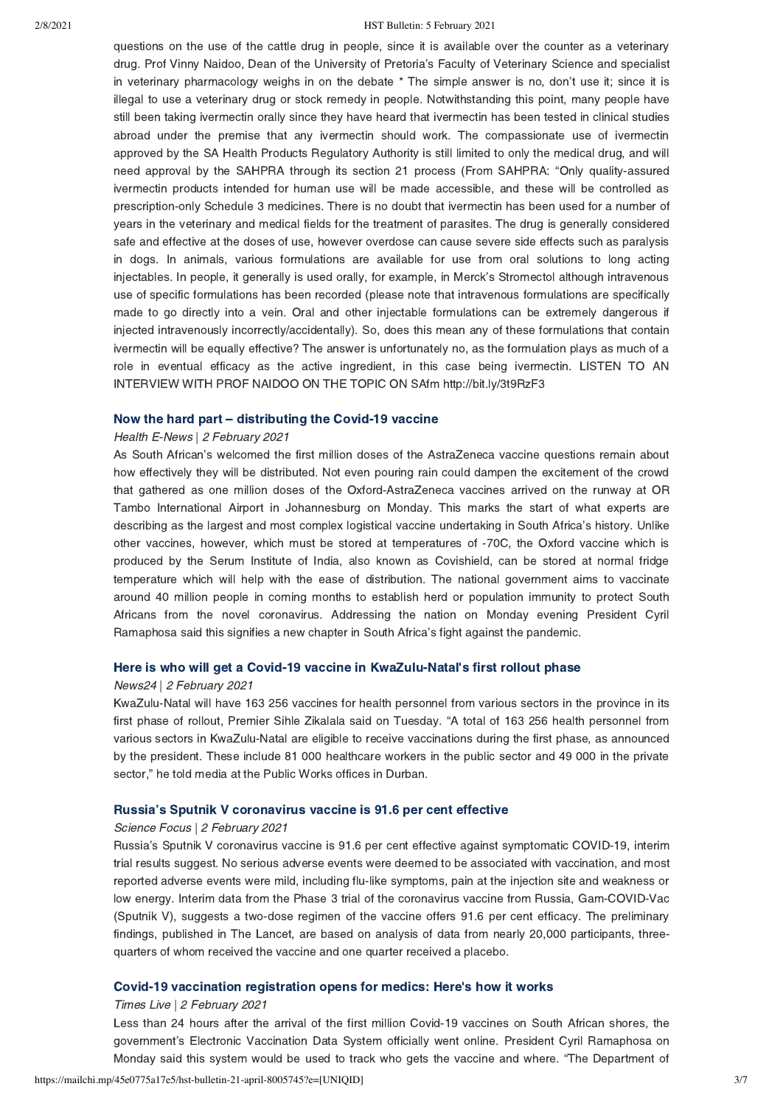#### 2/8/2021 HST Bulletin: 5 February 2021

questions on the use of the cattle drug in people, since it is available over the counter as a veterinary drug. Prof Vinny Naidoo, Dean of the University of Pretoria's Faculty of Veterinary Science and specialist in veterinary pharmacology weighs in on the debate \* The simple answer is no, don't use it; since it is illegal to use a veterinary drug or stock remedy in people. Notwithstanding this point, many people have still been taking ivermectin orally since they have heard that ivermectin has been tested in clinical studies abroad under the premise that any ivermectin should work. The compassionate use of ivermectin approved by the SA Health Products Regulatory Authority is still limited to only the medical drug, and will need approval by the SAHPRA through its section 21 process (From SAHPRA: "Only quality-assured ivermectin products intended for human use will be made accessible, and these will be controlled as prescription-only Schedule 3 medicines. There is no doubt that ivermectin has been used for a number of years in the veterinary and medical fields for the treatment of parasites. The drug is generally considered safe and effective at the doses of use, however overdose can cause severe side effects such as paralysis in dogs. In animals, various formulations are available for use from oral solutions to long acting injectables. In people, it generally is used orally, for example, in Merck's Stromectol although intravenous use of specific formulations has been recorded (please note that intravenous formulations are specifically made to go directly into a vein. Oral and other injectable formulations can be extremely dangerous if injected intravenously incorrectly/accidentally). So, does this mean any of these formulations that contain ivermectin will be equally effective? The answer is unfortunately no, as the formulation plays as much of a role in eventual efficacy as the active ingredient, in this case being ivermectin. LISTEN TO AN INTERVIEW WITH PROF NAIDOO ON THE TOPIC ON SAfm http://bit.ly/3t9RzF3

### [Now the hard part – distributing the Covid-19 vaccine](https://health-e.org.za/2021/02/02/now-the-hard-part-distributing-the-covid-19-vaccine/)

#### Health E-News | 2 February 2021

As South African's welcomed the first million doses of the AstraZeneca vaccine questions remain about how effectively they will be distributed. Not even pouring rain could dampen the excitement of the crowd that gathered as one million doses of the Oxford-AstraZeneca vaccines arrived on the runway at OR Tambo International Airport in Johannesburg on Monday. This marks the start of what experts are describing as the largest and most complex logistical vaccine undertaking in South Africa's history. Unlike other vaccines, however, which must be stored at temperatures of -70C, the Oxford vaccine which is produced by the Serum Institute of India, also known as Covishield, can be stored at normal fridge temperature which will help with the ease of distribution. The national government aims to vaccinate around 40 million people in coming months to establish herd or population immunity to protect South Africans from the novel coronavirus. Addressing the nation on Monday evening President Cyril Ramaphosa said this signifies a new chapter in South Africa's fight against the pandemic.

### [Here is who will get a Covid-19 vaccine in KwaZulu-Natal's first rollout phase](https://www.news24.com/news24/southafrica/news/list-here-is-who-will-get-a-covid-19-vaccine-in-kwazulu-natals-first-rollout-phase-20210202)

#### News24 | 2 February 2021

KwaZulu-Natal will have 163 256 vaccines for health personnel from various sectors in the province in its first phase of rollout, Premier Sihle Zikalala said on Tuesday. "A total of 163 256 health personnel from various sectors in KwaZulu-Natal are eligible to receive vaccinations during the first phase, as announced by the president. These include 81 000 healthcare workers in the public sector and 49 000 in the private sector," he told media at the Public Works offices in Durban.

#### [Russia's Sputnik V coronavirus vaccine is 91.6 per cent effective](https://www.sciencefocus.com/news/russias-sputnik-v-coronavirus-vaccine-is-91-6-per-cent-effective/?utm_source=Adestra&utm_medium=Email&utm_content=FOC2&utm_campaign=Science%20Focus%20Newsletter_695897_Focus_Automated%20Newsletters_17941623)

#### Science Focus | 2 February 2021

Russia's Sputnik V coronavirus vaccine is 91.6 per cent effective against symptomatic COVID-19, interim trial results suggest. No serious adverse events were deemed to be associated with vaccination, and most reported adverse events were mild, including flu-like symptoms, pain at the injection site and weakness or low energy. Interim data from the Phase 3 trial of the coronavirus vaccine from Russia, Gam-COVID-Vac (Sputnik V), suggests a two-dose regimen of the vaccine offers 91.6 per cent efficacy. The preliminary findings, published in The Lancet, are based on analysis of data from nearly 20,000 participants, threequarters of whom received the vaccine and one quarter received a placebo.

#### [Covid-19 vaccination registration opens for medics: Here's how it works](https://www.timeslive.co.za/news/south-africa/2021-02-02-covid-19-vaccination-registration-opens-for-health-care-workers/)

#### Times Live | 2 February 2021

Less than 24 hours after the arrival of the first million Covid-19 vaccines on South African shores, the government's Electronic Vaccination Data System officially went online. President Cyril Ramaphosa on Monday said this system would be used to track who gets the vaccine and where. "The Department of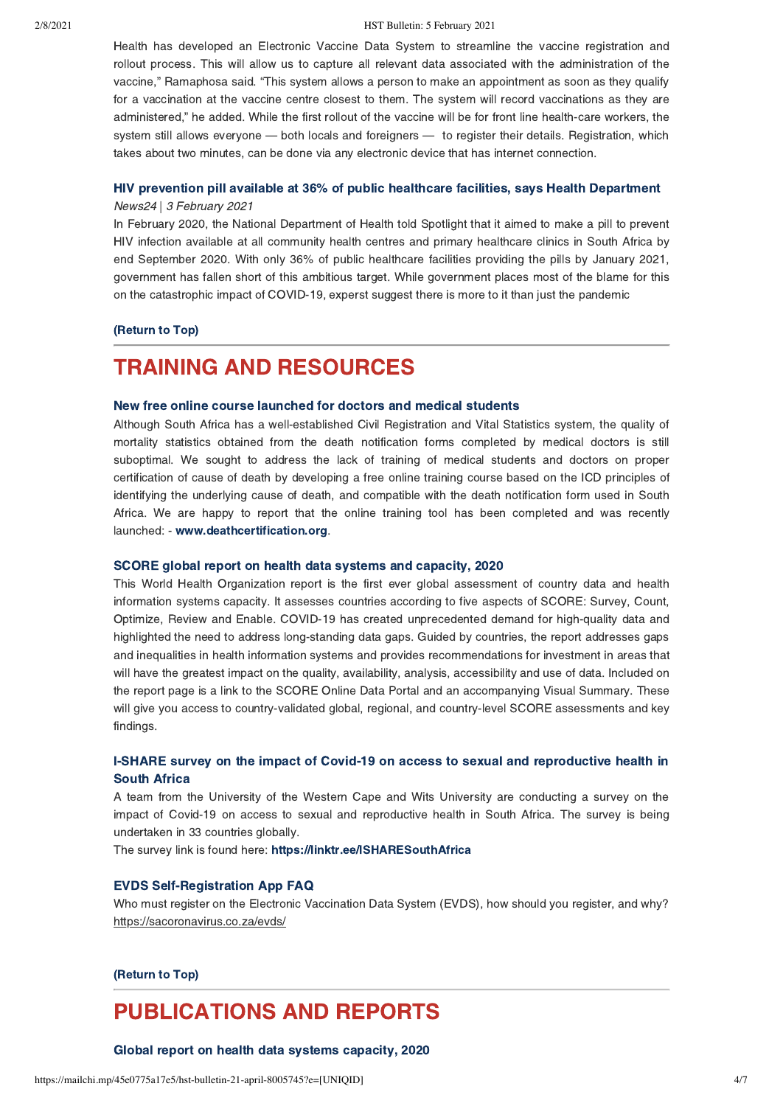#### 2/8/2021 HST Bulletin: 5 February 2021

Health has developed an Electronic Vaccine Data System to streamline the vaccine registration and rollout process. This will allow us to capture all relevant data associated with the administration of the vaccine," Ramaphosa said. "This system allows a person to make an appointment as soon as they qualify for a vaccination at the vaccine centre closest to them. The system will record vaccinations as they are administered," he added. While the first rollout of the vaccine will be for front line health-care workers, the system still allows everyone — both locals and foreigners — to register their details. Registration, which takes about two minutes, can be done via any electronic device that has internet connection.

# [HIV prevention pill available at 36% of public healthcare facilities, says Health Department](https://www.news24.com/health24/medical/hiv-aids/hiv-prevention-pill-available-at-36-of-public-healthcare-facilities-says-health-department-20210202)

### News24 | 3 February 2021

In February 2020, the National Department of Health told Spotlight that it aimed to make a pill to prevent HIV infection available at all community health centres and primary healthcare clinics in South Africa by end September 2020. With only 36% of public healthcare facilities providing the pills by January 2021, government has fallen short of this ambitious target. While government places most of the blame for this on the catastrophic impact of COVID-19, experst suggest there is more to it than just the pandemic

### [\(Return to Top\)](#page-0-1)

# <span id="page-3-0"></span>TRAINING AND RESOURCES

## [New free online course launched for doctors and medical students](https://www.samrc.ac.za/news/new-free-online-course-launched-doctors-and-medical-students%C2%A0)

Although South Africa has a well-established Civil Registration and Vital Statistics system, the quality of mortality statistics obtained from the death notification forms completed by medical doctors is still suboptimal. We sought to address the lack of training of medical students and doctors on proper certification of cause of death by developing a free online training course based on the ICD principles of identifying the underlying cause of death, and compatible with the death notification form used in South Africa. We are happy to report that the online training tool has been completed and was recently launched: - [www.deathcertification.org](http://www.deathcertification.org/).

#### [SCORE global report on health data systems and capacity, 2020](https://www.who.int/data/data-collection-tools/score/dashboard#/)

This World Health Organization report is the first ever global assessment of country data and health information systems capacity. It assesses countries according to five aspects of SCORE: Survey, Count, Optimize, Review and Enable. COVID-19 has created unprecedented demand for high-quality data and highlighted the need to address long-standing data gaps. Guided by countries, the report addresses gaps and inequalities in health information systems and provides recommendations for investment in areas that will have the greatest impact on the quality, availability, analysis, accessibility and use of data. Included on the report page is a link to the SCORE Online Data Portal and an accompanying Visual Summary. These will give you access to country-validated global, regional, and country-level SCORE assessments and key findings.

## [I-SHARE survey on the impact of Covid-19 on access to sexual and reproductive health in](https://linktr.ee/ISHARESouthAfrica) South Africa

A team from the University of the Western Cape and Wits University are conducting a survey on the impact of Covid-19 on access to sexual and reproductive health in South Africa. The survey is being undertaken in 33 countries globally.

The survey link is found here:<https://linktr.ee/ISHARESouthAfrica>

## [EVDS Self-Registration App FAQ](https://sacoronavirus.co.za/evds/)

Who must register on the Electronic Vaccination Data System (EVDS), how should you register, and why? https://sacoronavirus.co.za/evds/

### [\(Return to Top\)](#page-0-1)

# PUBLICATIONS AND REPORTS

[Global report on health data systems capacity, 2020](https://www.who.int/publications/i/item/global-report-on-health-data-systems-and-capacity-2020)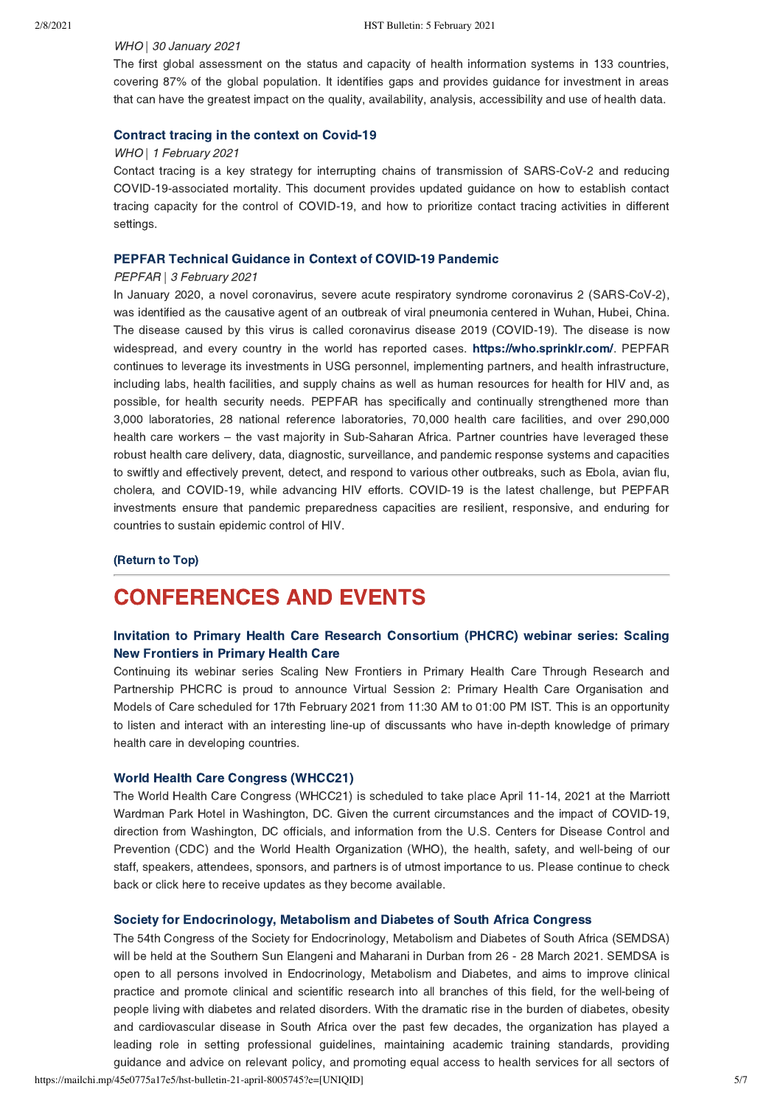#### WHO | 30 January 2021

The first global assessment on the status and capacity of health information systems in 133 countries, covering 87% of the global population. It identifies gaps and provides guidance for investment in areas that can have the greatest impact on the quality, availability, analysis, accessibility and use of health data.

## [Contract tracing in the context on Covid-19](https://www.who.int/publications/i/item/contact-tracing-in-the-context-of-covid-19)

#### WHO | 1 February 2021

Contact tracing is a key strategy for interrupting chains of transmission of SARS-CoV-2 and reducing COVID-19-associated mortality. This document provides updated guidance on how to establish contact tracing capacity for the control of COVID-19, and how to prioritize contact tracing activities in different settings.

### [PEPFAR Technical Guidance in Context of COVID-19 Pandemic](https://www.state.gov/wp-content/uploads/2021/02/02.03.2021-PEPFAR-Technical-Guidance-During-COVID.pdf?fbclid=IwAR3NH58BC7_EdMU7CA55vVqn4UkjzYFmDBhsECu2eIg815fJX4Go7KgOD0A)

#### PEPFAR | 3 February 2021

In January 2020, a novel coronavirus, severe acute respiratory syndrome coronavirus 2 (SARS-CoV-2), was identified as the causative agent of an outbreak of viral pneumonia centered in Wuhan, Hubei, China. The disease caused by this virus is called coronavirus disease 2019 (COVID-19). The disease is now widespread, and every country in the world has reported cases. [https://who.sprinklr.com/.](https://who.sprinklr.com/) PEPFAR continues to leverage its investments in USG personnel, implementing partners, and health infrastructure, including labs, health facilities, and supply chains as well as human resources for health for HIV and, as possible, for health security needs. PEPFAR has specifically and continually strengthened more than 3,000 laboratories, 28 national reference laboratories, 70,000 health care facilities, and over 290,000 health care workers – the vast majority in Sub-Saharan Africa. Partner countries have leveraged these robust health care delivery, data, diagnostic, surveillance, and pandemic response systems and capacities to swiftly and effectively prevent, detect, and respond to various other outbreaks, such as Ebola, avian flu, cholera, and COVID-19, while advancing HIV efforts. COVID-19 is the latest challenge, but PEPFAR investments ensure that pandemic preparedness capacities are resilient, responsive, and enduring for countries to sustain epidemic control of HIV.

## [\(Return to Top\)](#page-0-1)

# <span id="page-4-0"></span>CONFERENCES AND EVENTS

# [Invitation to Primary Health Care Research Consortium \(PHCRC\) webinar series: Scaling](https://www.georgeinstitute.org.in/events/virtual-session-2-primary-health-care-organisation-and-models-of-care?fbclid=IwAR0OiFBmzv-BJKsN5LVvQPWWq69yhUfDfMm8wmB9hCMZKXFbIgdA0iLlhmk) New Frontiers in Primary Health Care

Continuing its webinar series Scaling New Frontiers in Primary Health Care Through Research and Partnership PHCRC is proud to announce Virtual Session 2: Primary Health Care Organisation and Models of Care scheduled for 17th February 2021 from 11:30 AM to 01:00 PM IST. This is an opportunity to listen and interact with an interesting line-up of discussants who have in-depth knowledge of primary health care in developing countries.

### [World Health Care Congress \(WHCC21\)](https://www.worldhealthcarecongress.com/)

The World Health Care Congress (WHCC21) is scheduled to take place April 11-14, 2021 at the Marriott Wardman Park Hotel in Washington, DC. Given the current circumstances and the impact of COVID-19, direction from Washington, DC officials, and information from the U.S. Centers for Disease Control and Prevention (CDC) and the World Health Organization (WHO), the health, safety, and well-being of our staff, speakers, attendees, sponsors, and partners is of utmost importance to us. Please continue to check back or click here to receive updates as they become available.

#### [Society for Endocrinology, Metabolism and Diabetes of South Africa Congress](https://10times.com/semsda)

The 54th Congress of the Society for Endocrinology, Metabolism and Diabetes of South Africa (SEMDSA) will be held at the Southern Sun Elangeni and Maharani in Durban from 26 - 28 March 2021. SEMDSA is open to all persons involved in Endocrinology, Metabolism and Diabetes, and aims to improve clinical practice and promote clinical and scientific research into all branches of this field, for the well-being of people living with diabetes and related disorders. With the dramatic rise in the burden of diabetes, obesity and cardiovascular disease in South Africa over the past few decades, the organization has played a leading role in setting professional guidelines, maintaining academic training standards, providing guidance and advice on relevant policy, and promoting equal access to health services for all sectors of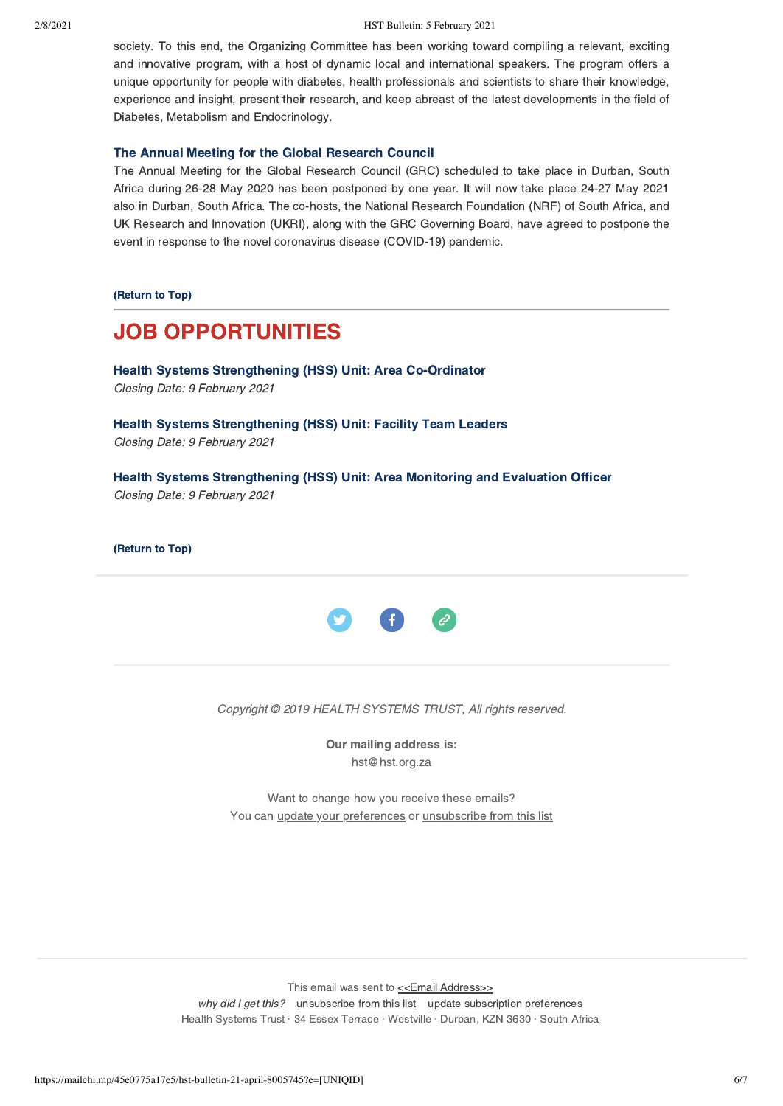society. To this end, the Organizing Committee has been working toward compiling a relevant, exciting and innovative program, with a host of dynamic local and international speakers. The program offers a unique opportunity for people with diabetes, health professionals and scientists to share their knowledge, experience and insight, present their research, and keep abreast of the latest developments in the field of Diabetes, Metabolism and Endocrinology.

## [The Annual Meeting for the Global Research Council](https://10times.com/e1sk-39p0-6dfs)

The Annual Meeting for the Global Research Council (GRC) scheduled to take place in Durban, South Africa during 26-28 May 2020 has been postponed by one year. It will now take place 24-27 May 2021 also in Durban, South Africa. The co-hosts, the National Research Foundation (NRF) of South Africa, and UK Research and Innovation (UKRI), along with the GRC Governing Board, have agreed to postpone the event in response to the novel coronavirus disease (COVID-19) pandemic.

[\(Return to Top\)](#page-0-1)

# <span id="page-5-0"></span>JOB OPPORTUNITIES

[Health Systems Strengthening \(HSS\) Unit: Area Co-Ordinator](https://www.hst.org.za/Pages/AREA-CO-ORDINATOR.aspx) Closing Date: 9 February 2021

[Health Systems Strengthening \(HSS\) Unit: Facility Team Leaders](https://www.hst.org.za/Pages/-FACILITY-TEAM-LEADERS-(x2).aspx) Closing Date: 9 February 2021

[Health Systems Strengthening \(HSS\) Unit: Area Monitoring and Evaluation Officer](https://www.hst.org.za/Pages/Area-Monitoring-And-Evaluation-Officer-(1).aspx) Closing Date: 9 February 2021

[\(Return to Top\)](#page-0-1)



Copyright © 2019 HEALTH SYSTEMS TRUST, All rights reserved.

Our mailing address is: hst@hst.org.za

Want to change how you receive these emails? You can *[update your preferences](https://hst.us14.list-manage.com/profile?u=72d7614ab973e486252cafb97&id=ac4ca52ce0&e=[UNIQID]&c=351fd11dd2)* or *unsubscribe from this list* 

This email was sent to [<<Email Address>>](mailto:%3C%3CEmail%20Address%3E%3E) [why did I get this?](https://hst.us14.list-manage.com/about?u=72d7614ab973e486252cafb97&id=ac4ca52ce0&e=[UNIQID]&c=351fd11dd2) [unsubscribe from this list](https://hst.us14.list-manage.com/unsubscribe?u=72d7614ab973e486252cafb97&id=ac4ca52ce0&e=[UNIQID]&c=351fd11dd2) [update subscription preferences](https://hst.us14.list-manage.com/profile?u=72d7614ab973e486252cafb97&id=ac4ca52ce0&e=[UNIQID]&c=351fd11dd2) Health Systems Trust · 34 Essex Terrace · Westville · Durban, KZN 3630 · South Africa